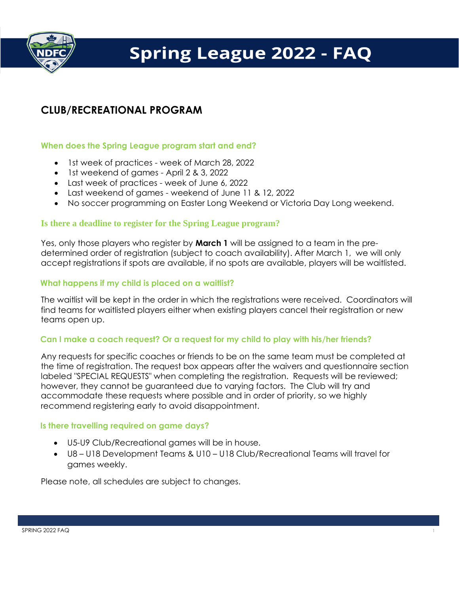

# **Spring League 2022 - FAQ**

# **CLUB/RECREATIONAL PROGRAM**

## **When does the Spring League program start and end?**

- 1st week of practices week of March 28, 2022
- 1st weekend of games April 2 & 3, 2022
- Last week of practices week of June 6, 2022
- Last weekend of games weekend of June 11 & 12, 2022
- No soccer programming on Easter Long Weekend or Victoria Day Long weekend.

#### **Is there a deadline to register for the Spring League program?**

Yes, only those players who register by **March 1** will be assigned to a team in the predetermined order of registration (subject to coach availability). After March 1, we will only accept registrations if spots are available, if no spots are available, players will be waitlisted.

#### **What happens if my child is placed on a waitlist?**

The waitlist will be kept in the order in which the registrations were received. Coordinators will find teams for waitlisted players either when existing players cancel their registration or new teams open up.

### **Can I make a coach request? Or a request for my child to play with his/her friends?**

Any requests for specific coaches or friends to be on the same team must be completed at the time of registration. The request box appears after the waivers and questionnaire section labeled "SPECIAL REQUESTS" when completing the registration. Requests will be reviewed; however, they cannot be guaranteed due to varying factors. The Club will try and accommodate these requests where possible and in order of priority, so we highly recommend registering early to avoid disappointment.

#### **Is there travelling required on game days?**

- U5-U9 Club/Recreational games will be in house.
- U8 U18 Development Teams & U10 U18 Club/Recreational Teams will travel for games weekly.

Please note, all schedules are subject to changes.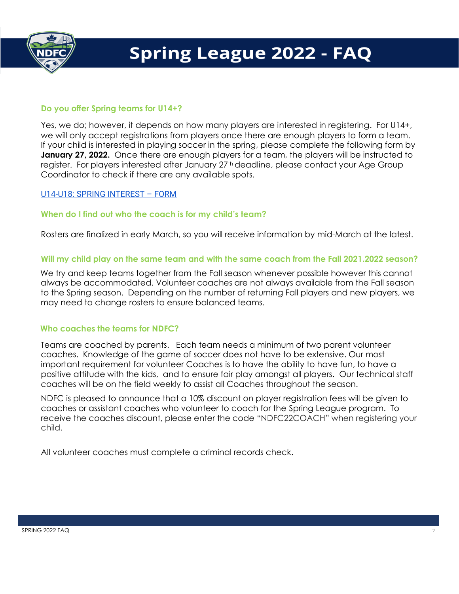

## **Do you offer Spring teams for U14+?**

Yes, we do; however, it depends on how many players are interested in registering. For U14+, we will only accept registrations from players once there are enough players to form a team. If your child is interested in playing soccer in the spring, please complete the following form by **January 27, 2022.** Once there are enough players for a team, the players will be instructed to register. For players interested after January 27th deadline, please contact your Age Group Coordinator to check if there are any available spots.

### [U14-U18: SPRING INTEREST](https://ndfc.powerupsports.com/s/AY4KRUhY) – FORM

#### **When do I find out who the coach is for my child's team?**

Rosters are finalized in early March, so you will receive information by mid-March at the latest.

#### **Will my child play on the same team and with the same coach from the Fall 2021.2022 season?**

We try and keep teams together from the Fall season whenever possible however this cannot always be accommodated. Volunteer coaches are not always available from the Fall season to the Spring season. Depending on the number of returning Fall players and new players, we may need to change rosters to ensure balanced teams.

#### **Who coaches the teams for NDFC?**

Teams are coached by parents. Each team needs a minimum of two parent volunteer coaches. Knowledge of the game of soccer does not have to be extensive. Our most important requirement for volunteer Coaches is to have the ability to have fun, to have a positive attitude with the kids, and to ensure fair play amongst all players. Our technical staff coaches will be on the field weekly to assist all Coaches throughout the season.

NDFC is pleased to announce that a 10% discount on player registration fees will be given to coaches or assistant coaches who volunteer to coach for the Spring League program. To receive the coaches discount, please enter the code "NDFC22COACH" when registering your child.

All volunteer coaches must complete a criminal records check.